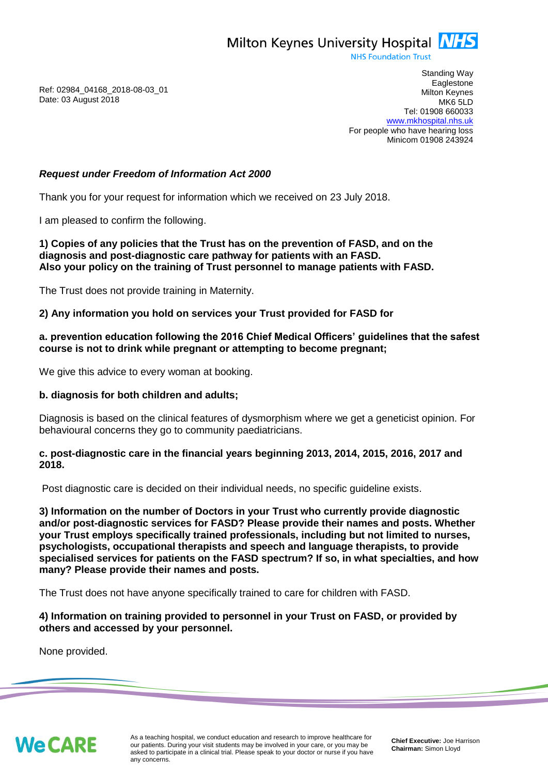Milton Keynes University Hospital **NHS** 

**NHS Foundation Trust** 

Ref: 02984\_04168\_2018-08-03\_01 Date: 03 August 2018

Standing Way **Eaglestone** Milton Keynes MK6 5LD Tel: 01908 660033 [www.mkhospital.nhs.uk](http://www.mkhospital.nhs.uk/) For people who have hearing loss Minicom 01908 243924

# *Request under Freedom of Information Act 2000*

Thank you for your request for information which we received on 23 July 2018.

I am pleased to confirm the following.

**1) Copies of any policies that the Trust has on the prevention of FASD, and on the diagnosis and post-diagnostic care pathway for patients with an FASD. Also your policy on the training of Trust personnel to manage patients with FASD.** 

The Trust does not provide training in Maternity.

# **2) Any information you hold on services your Trust provided for FASD for**

# **a. prevention education following the 2016 Chief Medical Officers' guidelines that the safest course is not to drink while pregnant or attempting to become pregnant;**

We give this advice to every woman at booking.

#### **b. diagnosis for both children and adults;**

Diagnosis is based on the clinical features of dysmorphism where we get a geneticist opinion. For behavioural concerns they go to community paediatricians.

# **c. post-diagnostic care in the financial years beginning 2013, 2014, 2015, 2016, 2017 and 2018.**

Post diagnostic care is decided on their individual needs, no specific guideline exists.

**3) Information on the number of Doctors in your Trust who currently provide diagnostic and/or post-diagnostic services for FASD? Please provide their names and posts. Whether your Trust employs specifically trained professionals, including but not limited to nurses, psychologists, occupational therapists and speech and language therapists, to provide specialised services for patients on the FASD spectrum? If so, in what specialties, and how many? Please provide their names and posts.**

The Trust does not have anyone specifically trained to care for children with FASD.

# **4) Information on training provided to personnel in your Trust on FASD, or provided by others and accessed by your personnel.**

None provided.